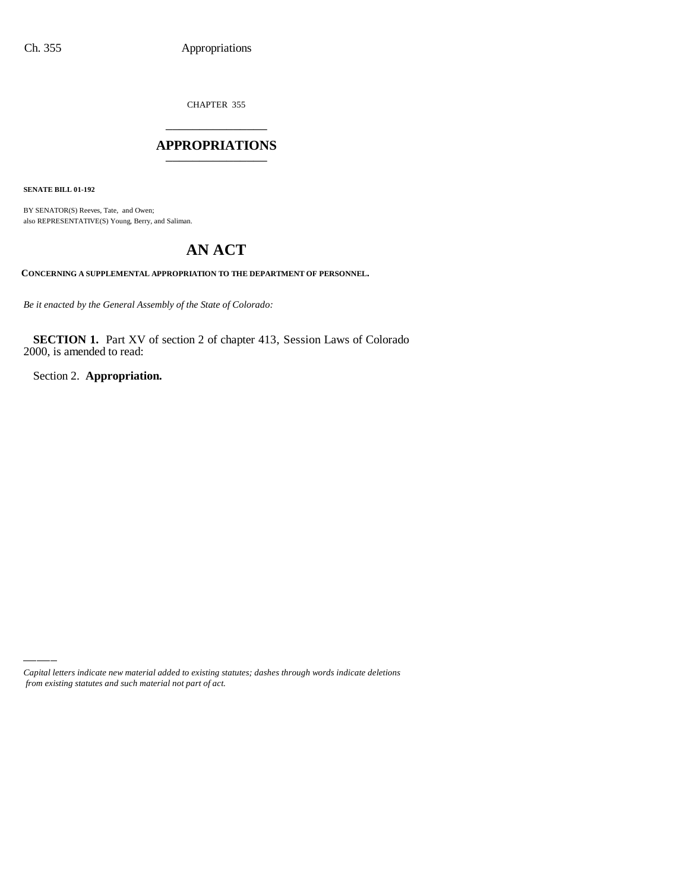CHAPTER 355 \_\_\_\_\_\_\_\_\_\_\_\_\_\_\_

### **APPROPRIATIONS** \_\_\_\_\_\_\_\_\_\_\_\_\_\_\_

**SENATE BILL 01-192**

BY SENATOR(S) Reeves, Tate, and Owen; also REPRESENTATIVE(S) Young, Berry, and Saliman.

# **AN ACT**

**CONCERNING A SUPPLEMENTAL APPROPRIATION TO THE DEPARTMENT OF PERSONNEL.**

*Be it enacted by the General Assembly of the State of Colorado:*

**SECTION 1.** Part XV of section 2 of chapter 413, Session Laws of Colorado 2000, is amended to read:

Section 2. **Appropriation.**

*Capital letters indicate new material added to existing statutes; dashes through words indicate deletions from existing statutes and such material not part of act.*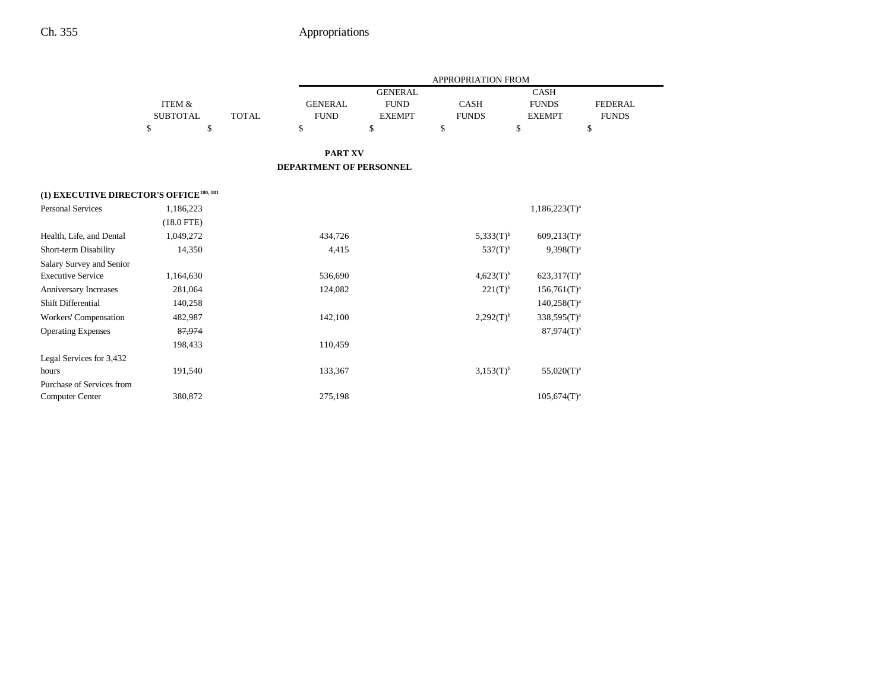|                                                     |                   |              | <b>APPROPRIATION FROM</b> |                |                |                  |                |  |
|-----------------------------------------------------|-------------------|--------------|---------------------------|----------------|----------------|------------------|----------------|--|
|                                                     |                   |              |                           | <b>GENERAL</b> |                | <b>CASH</b>      |                |  |
|                                                     | <b>ITEM &amp;</b> |              | <b>GENERAL</b>            | <b>FUND</b>    | <b>CASH</b>    | <b>FUNDS</b>     | <b>FEDERAL</b> |  |
|                                                     | <b>SUBTOTAL</b>   | <b>TOTAL</b> | <b>FUND</b>               | <b>EXEMPT</b>  | <b>FUNDS</b>   | <b>EXEMPT</b>    | <b>FUNDS</b>   |  |
|                                                     | \$                | \$           | \$                        | \$             | \$             | \$               | \$             |  |
|                                                     |                   |              | <b>PART XV</b>            |                |                |                  |                |  |
|                                                     |                   |              | DEPARTMENT OF PERSONNEL   |                |                |                  |                |  |
| (1) EXECUTIVE DIRECTOR'S OFFICE <sup>180, 181</sup> |                   |              |                           |                |                |                  |                |  |
| <b>Personal Services</b>                            | 1,186,223         |              |                           |                |                | $1,186,223(T)^a$ |                |  |
|                                                     | $(18.0$ FTE)      |              |                           |                |                |                  |                |  |
| Health, Life, and Dental                            | 1,049,272         |              | 434,726                   |                | $5,333(T)^{b}$ | $609,213(T)^a$   |                |  |
| Short-term Disability                               | 14,350            |              | 4,415                     |                | $537(T)^{b}$   | $9.398(T)^{a}$   |                |  |
| Salary Survey and Senior                            |                   |              |                           |                |                |                  |                |  |
| <b>Executive Service</b>                            | 1,164,630         |              | 536,690                   |                | $4,623(T)^{b}$ | $623,317(T)^a$   |                |  |
| Anniversary Increases                               | 281,064           |              | 124,082                   |                | $221(T)^{b}$   | $156,761(T)^a$   |                |  |
| Shift Differential                                  | 140,258           |              |                           |                |                | $140,258(T)^{a}$ |                |  |
| Workers' Compensation                               | 482,987           |              | 142,100                   |                | $2,292(T)^{b}$ | $338,595(T)^{a}$ |                |  |
| <b>Operating Expenses</b>                           | 87,974            |              |                           |                |                | $87,974(T)^a$    |                |  |
|                                                     | 198,433           |              | 110,459                   |                |                |                  |                |  |
| Legal Services for 3,432                            |                   |              |                           |                |                |                  |                |  |
| hours                                               | 191,540           |              | 133,367                   |                | $3,153(T)^{b}$ | $55,020(T)^a$    |                |  |
| Purchase of Services from                           |                   |              |                           |                |                |                  |                |  |
| <b>Computer Center</b>                              | 380,872           |              | 275,198                   |                |                | $105,674(T)^a$   |                |  |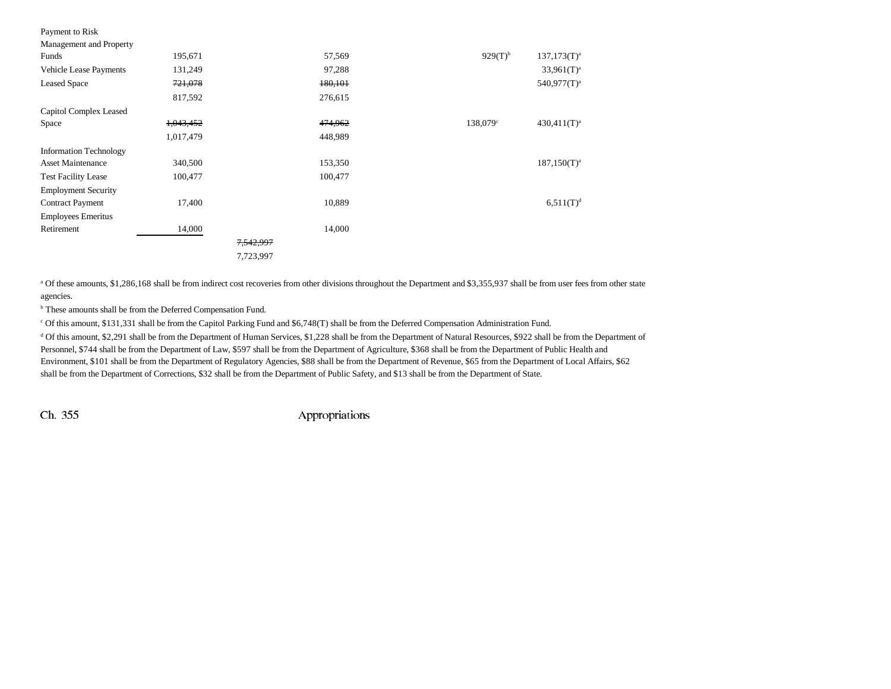| Payment to Risk               |           |                      |         |              |                         |
|-------------------------------|-----------|----------------------|---------|--------------|-------------------------|
| Management and Property       |           |                      |         |              |                         |
| Funds                         | 195,671   |                      | 57,569  | $929(T)^{b}$ | $137,173(T)^{a}$        |
| <b>Vehicle Lease Payments</b> | 131,249   |                      | 97,288  |              | $33,961(T)^a$           |
| <b>Leased Space</b>           | 721,078   |                      | 180,101 |              | 540,977(T) <sup>a</sup> |
|                               | 817,592   |                      | 276,615 |              |                         |
| Capitol Complex Leased        |           |                      |         |              |                         |
| Space                         | 1,043,452 |                      | 474,962 | 138,079°     | $430,411(T)^a$          |
|                               | 1,017,479 |                      | 448,989 |              |                         |
| <b>Information Technology</b> |           |                      |         |              |                         |
| <b>Asset Maintenance</b>      | 340,500   |                      | 153,350 |              | $187,150(T)^{a}$        |
| <b>Test Facility Lease</b>    | 100,477   |                      | 100,477 |              |                         |
| <b>Employment Security</b>    |           |                      |         |              |                         |
| <b>Contract Payment</b>       | 17,400    |                      | 10,889  |              | $6,511(T)^d$            |
| <b>Employees Emeritus</b>     |           |                      |         |              |                         |
| Retirement                    | 14,000    |                      | 14,000  |              |                         |
|                               |           | <del>7,542,997</del> |         |              |                         |
|                               |           | 7,723,997            |         |              |                         |

a Of these amounts, \$1,286,168 shall be from indirect cost recoveries from other divisions throughout the Department and \$3,355,937 shall be from user fees from other state agencies.

 $^{\rm b}$  These amounts shall be from the Deferred Compensation Fund.

c Of this amount, \$131,331 shall be from the Capitol Parking Fund and \$6,748(T) shall be from the Deferred Compensation Administration Fund.

<sup>d</sup> Of this amount, \$2,291 shall be from the Department of Human Services, \$1,228 shall be from the Department of Natural Resources, \$922 shall be from the Department of Personnel, \$744 shall be from the Department of Law, \$597 shall be from the Department of Agriculture, \$368 shall be from the Department of Public Health and Environment, \$101 shall be from the Department of Regulatory Agencies, \$88 shall be from the Department of Revenue, \$65 from the Department of Local Affairs, \$62 shall be from the Department of Corrections, \$32 shall be from the Department of Public Safety, and \$13 shall be from the Department of State.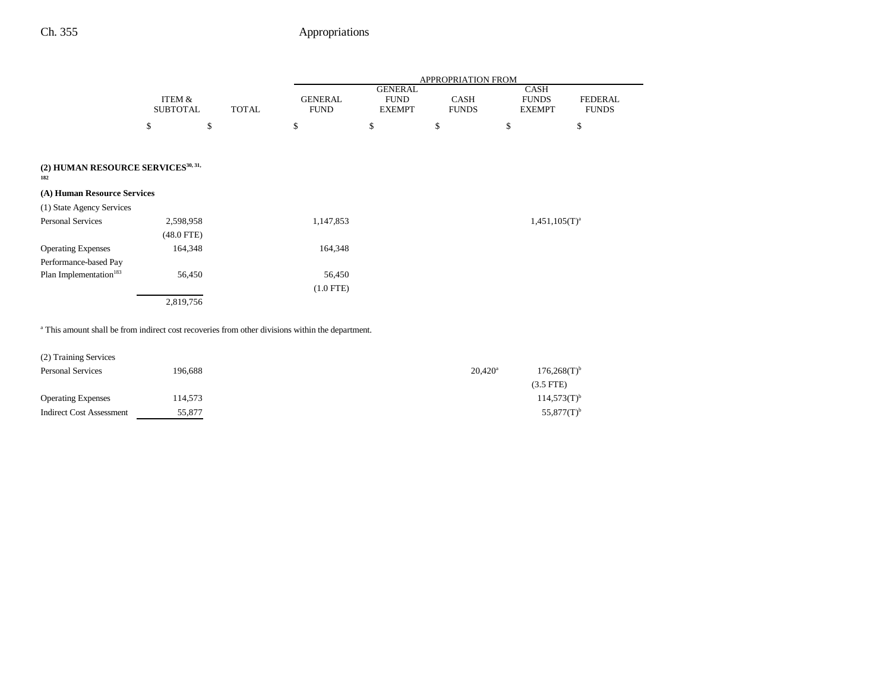$\overline{\phantom{0}}$ 

|                                                       |                           |              |                               |                                                | <b>APPROPRIATION FROM</b>   |                                              |                                |
|-------------------------------------------------------|---------------------------|--------------|-------------------------------|------------------------------------------------|-----------------------------|----------------------------------------------|--------------------------------|
|                                                       | ITEM &<br><b>SUBTOTAL</b> | <b>TOTAL</b> | <b>GENERAL</b><br><b>FUND</b> | <b>GENERAL</b><br><b>FUND</b><br><b>EXEMPT</b> | <b>CASH</b><br><b>FUNDS</b> | <b>CASH</b><br><b>FUNDS</b><br><b>EXEMPT</b> | <b>FEDERAL</b><br><b>FUNDS</b> |
|                                                       | \$                        | \$           | \$                            | \$                                             | \$                          | \$                                           | \$                             |
|                                                       |                           |              |                               |                                                |                             |                                              |                                |
| (2) HUMAN RESOURCE SERVICES <sup>30, 31,</sup><br>182 |                           |              |                               |                                                |                             |                                              |                                |
| (A) Human Resource Services                           |                           |              |                               |                                                |                             |                                              |                                |
| (1) State Agency Services                             |                           |              |                               |                                                |                             |                                              |                                |
| <b>Personal Services</b>                              | 2,598,958                 |              | 1,147,853                     |                                                |                             | $1,451,105(T)^{a}$                           |                                |
|                                                       | $(48.0$ FTE)              |              |                               |                                                |                             |                                              |                                |
| <b>Operating Expenses</b>                             | 164,348                   |              | 164,348                       |                                                |                             |                                              |                                |
| Performance-based Pay                                 |                           |              |                               |                                                |                             |                                              |                                |
| Plan Implementation <sup>183</sup>                    | 56,450                    |              | 56,450                        |                                                |                             |                                              |                                |
|                                                       |                           |              | $(1.0$ FTE)                   |                                                |                             |                                              |                                |
|                                                       | 2,819,756                 |              |                               |                                                |                             |                                              |                                |

<sup>a</sup> This amount shall be from indirect cost recoveries from other divisions within the department.

| (2) Training Services           |         |                  |                           |
|---------------------------------|---------|------------------|---------------------------|
| <b>Personal Services</b>        | 196.688 | $20,420^{\rm a}$ | $176,268(T)$ <sup>b</sup> |
|                                 |         |                  | $(3.5$ FTE)               |
| <b>Operating Expenses</b>       | 114.573 |                  | $114,573(T)$ <sup>b</sup> |
| <b>Indirect Cost Assessment</b> | 55,877  |                  | $55,877(T)^{b}$           |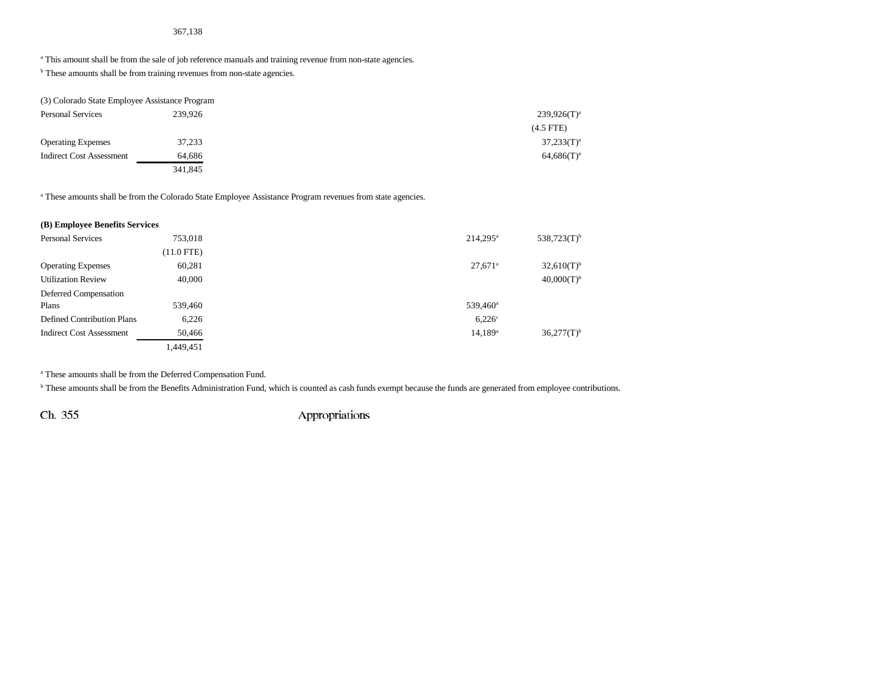#### 367,138

<sup>a</sup> This amount shall be from the sale of job reference manuals and training revenue from non-state agencies.

<sup>b</sup> These amounts shall be from training revenues from non-state agencies.

| (3) Colorado State Employee Assistance Program |         |                |
|------------------------------------------------|---------|----------------|
| <b>Personal Services</b>                       | 239.926 | $239.926(T)^a$ |
|                                                |         | $(4.5$ FTE)    |
| <b>Operating Expenses</b>                      | 37,233  | $37,233(T)^a$  |
| <b>Indirect Cost Assessment</b>                | 64,686  | $64,686(T)^a$  |
|                                                | 341,845 |                |

a These amounts shall be from the Colorado State Employee Assistance Program revenues from state agencies.

| (B) Employee Benefits Services  |              |                       |                          |
|---------------------------------|--------------|-----------------------|--------------------------|
| <b>Personal Services</b>        | 753,018      | $214.295^a$           | $538,723(T)^{b}$         |
|                                 | $(11.0$ FTE) |                       |                          |
| <b>Operating Expenses</b>       | 60,281       | $27,671$ <sup>a</sup> | $32,610(T)$ <sup>b</sup> |
| <b>Utilization Review</b>       | 40,000       |                       | $40,000(T)^{b}$          |
| Deferred Compensation           |              |                       |                          |
| Plans                           | 539,460      | 539,460 <sup>a</sup>  |                          |
| Defined Contribution Plans      | 6,226        | $6,226$ <sup>c</sup>  |                          |
| <b>Indirect Cost Assessment</b> | 50,466       | $14,189$ <sup>a</sup> | $36,277(T)$ <sup>b</sup> |
|                                 | 1,449,451    |                       |                          |

a These amounts shall be from the Deferred Compensation Fund.

**b** These amounts shall be from the Benefits Administration Fund, which is counted as cash funds exempt because the funds are generated from employee contributions.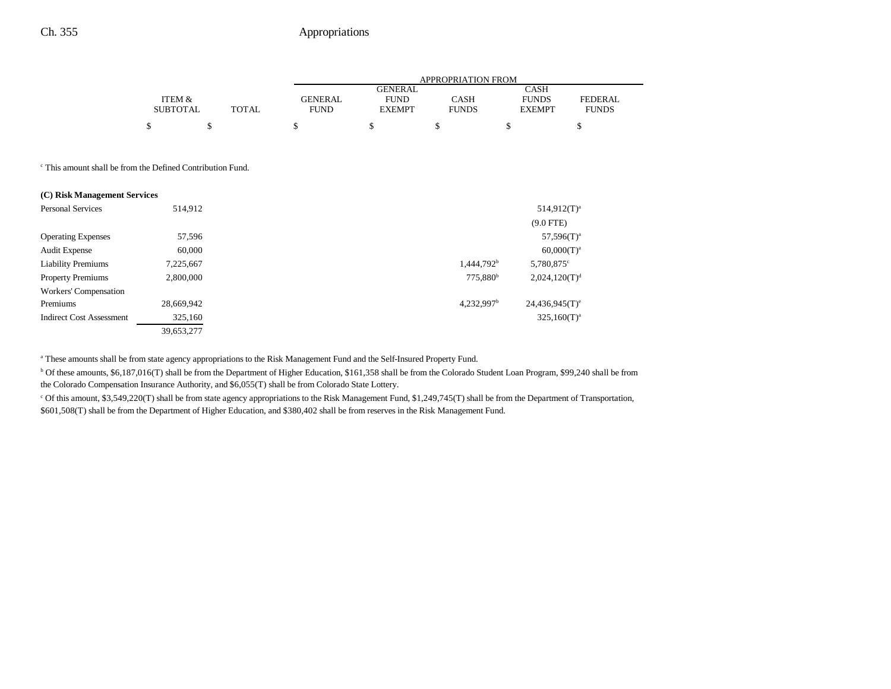|                 |       |                | <b>APPROPRIATION FROM</b> |              |               |                |  |
|-----------------|-------|----------------|---------------------------|--------------|---------------|----------------|--|
|                 |       |                | <b>GENERAL</b>            |              | <b>CASH</b>   |                |  |
| ITEM &          |       | <b>GENERAL</b> | <b>FUND</b>               | CASH         | <b>FUNDS</b>  | <b>FEDERAL</b> |  |
| <b>SUBTOTAL</b> | TOTAL | <b>FUND</b>    | <b>EXEMPT</b>             | <b>FUNDS</b> | <b>EXEMPT</b> | <b>FUNDS</b>   |  |
|                 |       |                |                           |              |               |                |  |

c This amount shall be from the Defined Contribution Fund.

| (C) Risk Management Services    |            |                          |                              |
|---------------------------------|------------|--------------------------|------------------------------|
| Personal Services               | 514,912    |                          | $514.912(T)^{a}$             |
|                                 |            |                          | $(9.0$ FTE)                  |
| <b>Operating Expenses</b>       | 57,596     |                          | $57,596(T)^a$                |
| <b>Audit Expense</b>            | 60,000     |                          | $60,000(T)^a$                |
| <b>Liability Premiums</b>       | 7,225,667  | 1,444,792 <sup>b</sup>   | 5,780,875°                   |
| <b>Property Premiums</b>        | 2,800,000  | 775,880 <sup>b</sup>     | 2,024,120(T) <sup>d</sup>    |
| Workers' Compensation           |            |                          |                              |
| Premiums                        | 28,669,942 | $4,232,997$ <sup>b</sup> | $24,436,945(T)$ <sup>e</sup> |
| <b>Indirect Cost Assessment</b> | 325,160    |                          | $325,160(T)^{a}$             |
|                                 | 39.653.277 |                          |                              |

a These amounts shall be from state agency appropriations to the Risk Management Fund and the Self-Insured Property Fund.

b Of these amounts, \$6,187,016(T) shall be from the Department of Higher Education, \$161,358 shall be from the Colorado Student Loan Program, \$99,240 shall be from the Colorado Compensation Insurance Authority, and \$6,055(T) shall be from Colorado State Lottery.

c Of this amount, \$3,549,220(T) shall be from state agency appropriations to the Risk Management Fund, \$1,249,745(T) shall be from the Department of Transportation, \$601,508(T) shall be from the Department of Higher Education, and \$380,402 shall be from reserves in the Risk Management Fund.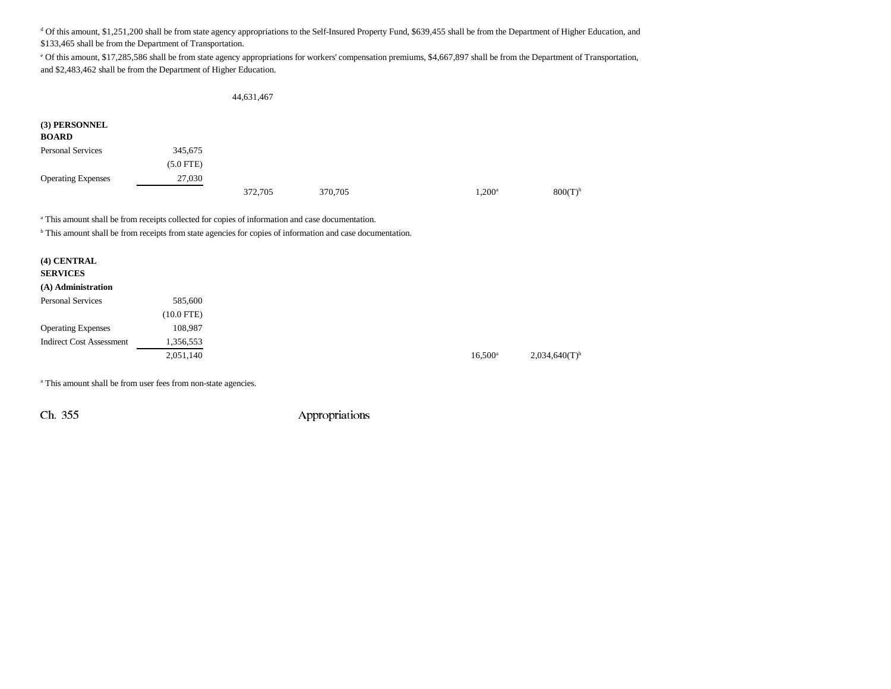<sup>d</sup> Of this amount, \$1,251,200 shall be from state agency appropriations to the Self-Insured Property Fund, \$639,455 shall be from the Department of Higher Education, and \$133,465 shall be from the Department of Transportation.

e Of this amount, \$17,285,586 shall be from state agency appropriations for workers' compensation premiums, \$4,667,897 shall be from the Department of Transportation, and \$2,483,462 shall be from the Department of Higher Education.

44,631,467

| (3) PERSONNEL<br><b>BOARD</b> |             |         |         |                 |              |
|-------------------------------|-------------|---------|---------|-----------------|--------------|
| <b>Personal Services</b>      | 345,675     |         |         |                 |              |
|                               | $(5.0$ FTE) |         |         |                 |              |
| <b>Operating Expenses</b>     | 27,030      |         |         |                 |              |
|                               |             | 372,705 | 370,705 | $1,200^{\rm a}$ | $800(T)^{b}$ |

a This amount shall be from receipts collected for copies of information and case documentation.

<sup>b</sup> This amount shall be from receipts from state agencies for copies of information and case documentation.

| (4) CENTRAL     |  |
|-----------------|--|
| <b>SERVICES</b> |  |

#### **(A) Administration**

| <b>Personal Services</b>        | 585,600      |
|---------------------------------|--------------|
|                                 | $(10.0$ FTE) |
| <b>Operating Expenses</b>       | 108.987      |
| <b>Indirect Cost Assessment</b> | 1,356,553    |
|                                 | 2,051,140    |

 $16,500^a$  2,034,640(T)<sup>b</sup>

a This amount shall be from user fees from non-state agencies.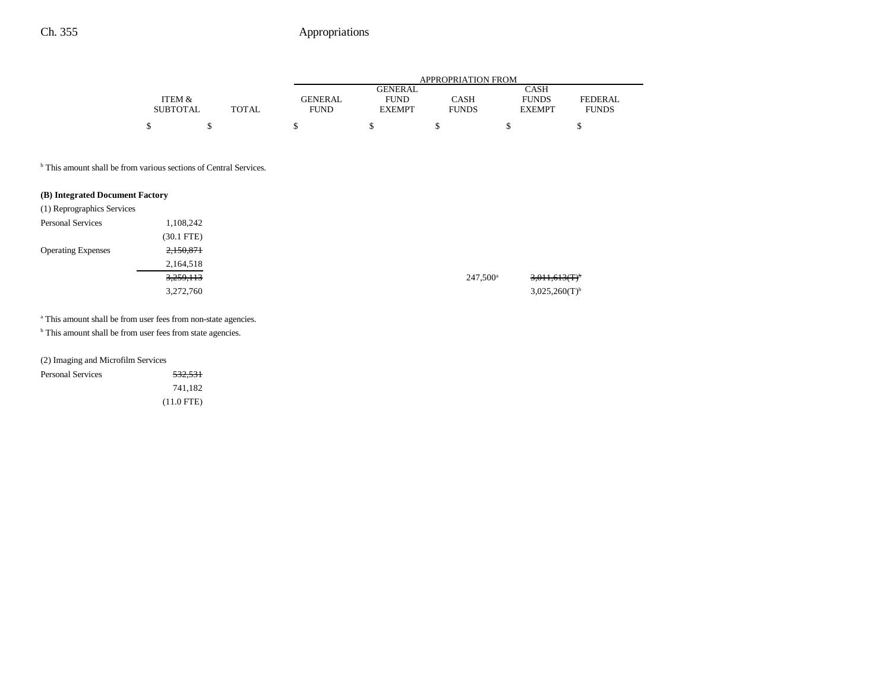|                 |              |                | APPROPRIATION FROM |              |               |              |  |
|-----------------|--------------|----------------|--------------------|--------------|---------------|--------------|--|
|                 |              |                | GENERAL            |              | CASH          |              |  |
| ITEM &          |              | <b>GENERAL</b> | <b>FUND</b>        | CASH         | <b>FUNDS</b>  | FEDERAL      |  |
| <b>SUBTOTAL</b> | <b>TOTAL</b> | <b>FUND</b>    | <b>EXEMPT</b>      | <b>FUNDS</b> | <b>EXEMPT</b> | <b>FUNDS</b> |  |
|                 |              |                |                    |              |               |              |  |

<sup>b</sup> This amount shall be from various sections of Central Services.

#### **(B) Integrated Document Factory**

| (1) Reprographics Services |              |
|----------------------------|--------------|
| <b>Personal Services</b>   | 1,108,242    |
|                            | $(30.1$ FTE) |
| <b>Operating Expenses</b>  | 2,150,871    |
|                            | 2,164,518    |
|                            | 3,259,113    |
|                            | 3,272,760    |

<sup>a</sup> This amount shall be from user fees from non-state agencies.

<sup>b</sup> This amount shall be from user fees from state agencies.

(2) Imaging and Microfilm Services

| <b>Personal Services</b> | <del>532,531</del> |
|--------------------------|--------------------|
|                          | 741.182            |
|                          | $(11.0$ FTE)       |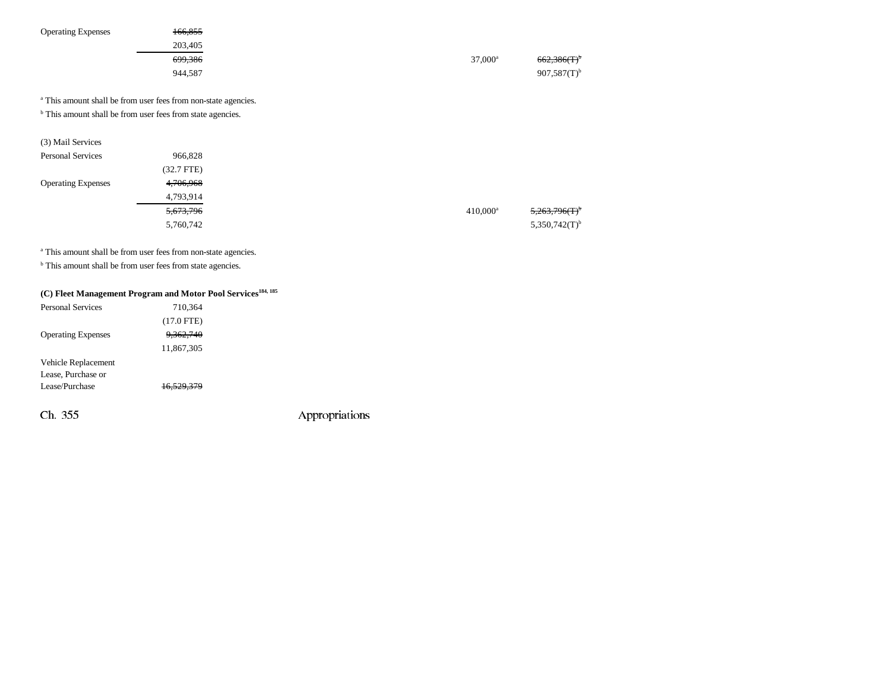| <b>Operating Expenses</b> | 166,855<br>203,405                                                                                                                                 |                  |                           |
|---------------------------|----------------------------------------------------------------------------------------------------------------------------------------------------|------------------|---------------------------|
|                           |                                                                                                                                                    |                  |                           |
|                           | 699,386                                                                                                                                            | $37,000^{\rm a}$ | 662,386(T)                |
|                           | 944,587                                                                                                                                            |                  | $907,587(T)$ <sup>b</sup> |
|                           | <sup>a</sup> This amount shall be from user fees from non-state agencies.<br><sup>b</sup> This amount shall be from user fees from state agencies. |                  |                           |
| (3) Mail Services         |                                                                                                                                                    |                  |                           |
|                           |                                                                                                                                                    |                  |                           |

| Personal Services         | 966,828              |             |                             |
|---------------------------|----------------------|-------------|-----------------------------|
|                           | (32.7 FTE)           |             |                             |
| <b>Operating Expenses</b> | 4,706,968            |             |                             |
|                           | 4,793,914            |             |                             |
|                           | <del>5,673,796</del> | $410,000^a$ | 5,263,796(T)                |
|                           | 5,760,742            |             | $5,350,742(T)$ <sup>b</sup> |
|                           |                      |             |                             |

a This amount shall be from user fees from non-state agencies.

**b** This amount shall be from user fees from state agencies.

## **(C) Fleet Management Program and Motor Pool Services184, 185**

| <b>Personal Services</b>  | 710,364      |                |
|---------------------------|--------------|----------------|
|                           | $(17.0$ FTE) |                |
| <b>Operating Expenses</b> | 9,362,740    |                |
|                           | 11,867,305   |                |
| Vehicle Replacement       |              |                |
| Lease, Purchase or        |              |                |
| Lease/Purchase            | 16.529.379   |                |
|                           |              |                |
| Ch. 355                   |              | Appropriations |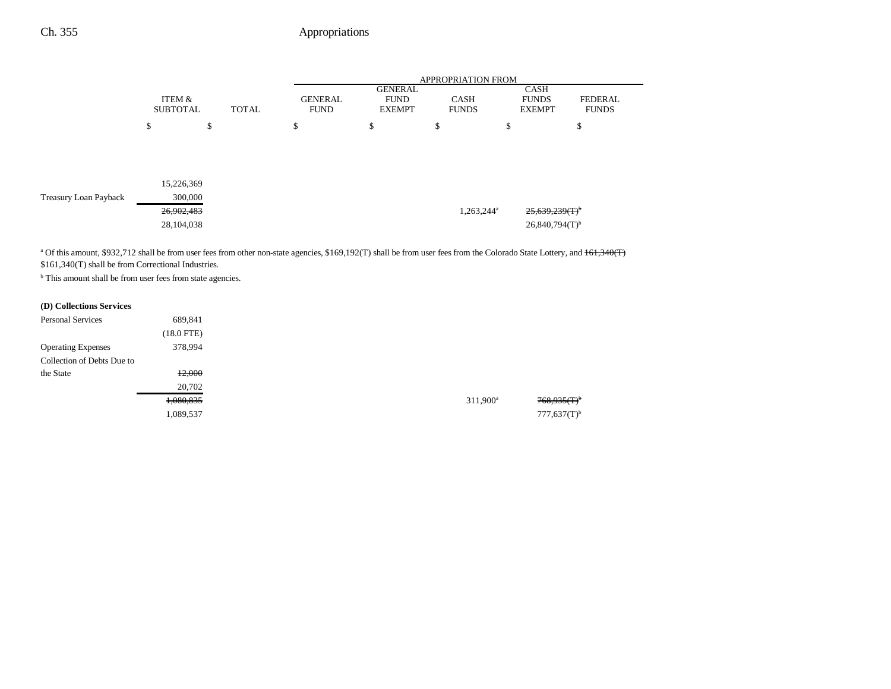|                       |                           |              |                               | <b>APPROPRIATION FROM</b>                      |                             |                                              |                         |  |
|-----------------------|---------------------------|--------------|-------------------------------|------------------------------------------------|-----------------------------|----------------------------------------------|-------------------------|--|
|                       | ITEM &<br><b>SUBTOTAL</b> | <b>TOTAL</b> | <b>GENERAL</b><br><b>FUND</b> | <b>GENERAL</b><br><b>FUND</b><br><b>EXEMPT</b> | <b>CASH</b><br><b>FUNDS</b> | <b>CASH</b><br><b>FUNDS</b><br><b>EXEMPT</b> | FEDERAL<br><b>FUNDS</b> |  |
|                       | \$                        | \$           | \$                            | \$                                             | \$                          | \$                                           | \$                      |  |
|                       |                           |              |                               |                                                |                             |                                              |                         |  |
|                       |                           |              |                               |                                                |                             |                                              |                         |  |
|                       | 15,226,369                |              |                               |                                                |                             |                                              |                         |  |
| Treasury Loan Payback | 300,000                   |              |                               |                                                |                             |                                              |                         |  |
|                       | 26,902,483                |              |                               |                                                | 1,263,244 <sup>a</sup>      | $25,639,239(T)^{b}$                          |                         |  |
|                       | 28,104,038                |              |                               |                                                |                             | $26,840,794(T)$ <sup>b</sup>                 |                         |  |

<sup>a</sup> Of this amount, \$932,712 shall be from user fees from other non-state agencies, \$169,192(T) shall be from user fees from the Colorado State Lottery, and <del>161,340(T)</del> \$161,340(T) shall be from Correctional Industries.

<sup>b</sup> This amount shall be from user fees from state agencies.

### **(D) Collections Services**

| <b>Personal Services</b>   | 689,841         |
|----------------------------|-----------------|
|                            | $(18.0$ FTE $)$ |
| <b>Operating Expenses</b>  | 378,994         |
| Collection of Debts Due to |                 |
| the State                  | 12,000          |
|                            | 20,702          |
|                            | 1,080,835       |
|                            | 1,089,537       |
|                            |                 |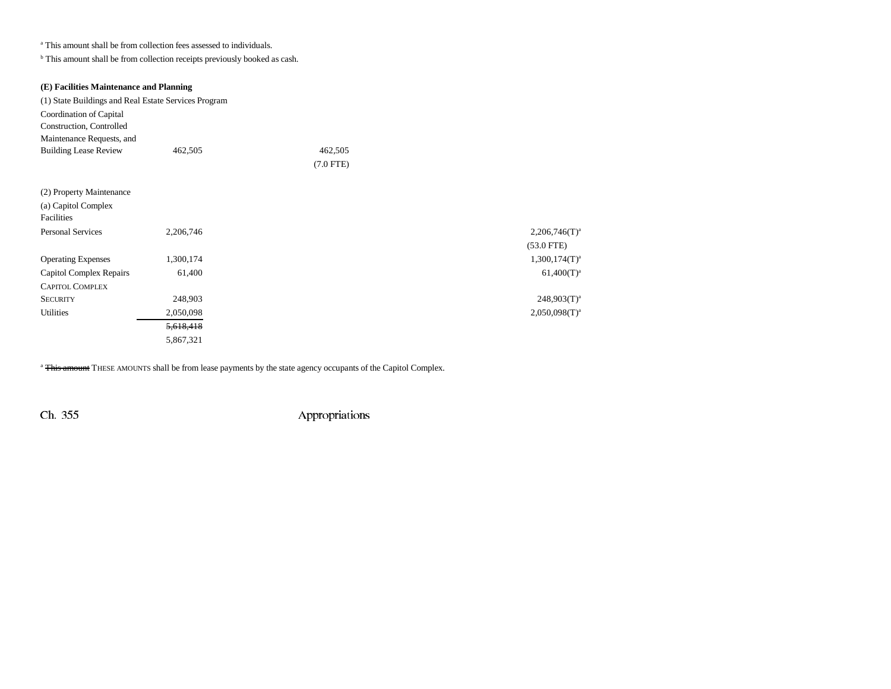a This amount shall be from collection fees assessed to individuals.

 $^{\rm b}$  This amount shall be from collection receipts previously booked as cash.

| (E) Facilities Maintenance and Planning              |           |             |                    |
|------------------------------------------------------|-----------|-------------|--------------------|
| (1) State Buildings and Real Estate Services Program |           |             |                    |
| Coordination of Capital                              |           |             |                    |
| Construction, Controlled                             |           |             |                    |
| Maintenance Requests, and                            |           |             |                    |
| <b>Building Lease Review</b>                         | 462,505   | 462,505     |                    |
|                                                      |           | $(7.0$ FTE) |                    |
|                                                      |           |             |                    |
| (2) Property Maintenance                             |           |             |                    |
| (a) Capitol Complex                                  |           |             |                    |
| Facilities                                           |           |             |                    |
| <b>Personal Services</b>                             | 2,206,746 |             | $2,206,746(T)^3$   |
|                                                      |           |             | $(53.0$ FTE)       |
| <b>Operating Expenses</b>                            | 1,300,174 |             | $1,300,174(T)^{3}$ |
| <b>Capitol Complex Repairs</b>                       | 61,400    |             | $61,400(T)^{3}$    |
| <b>CAPITOL COMPLEX</b>                               |           |             |                    |
| <b>SECURITY</b>                                      | 248,903   |             | $248,903(T)^{3}$   |
| <b>Utilities</b>                                     | 2,050,098 |             | $2,050,098(T)^{3}$ |
|                                                      | 5,618,418 |             |                    |
|                                                      | 5,867,321 |             |                    |

<sup>a</sup> This amount THESE AMOUNTS shall be from lease payments by the state agency occupants of the Capitol Complex.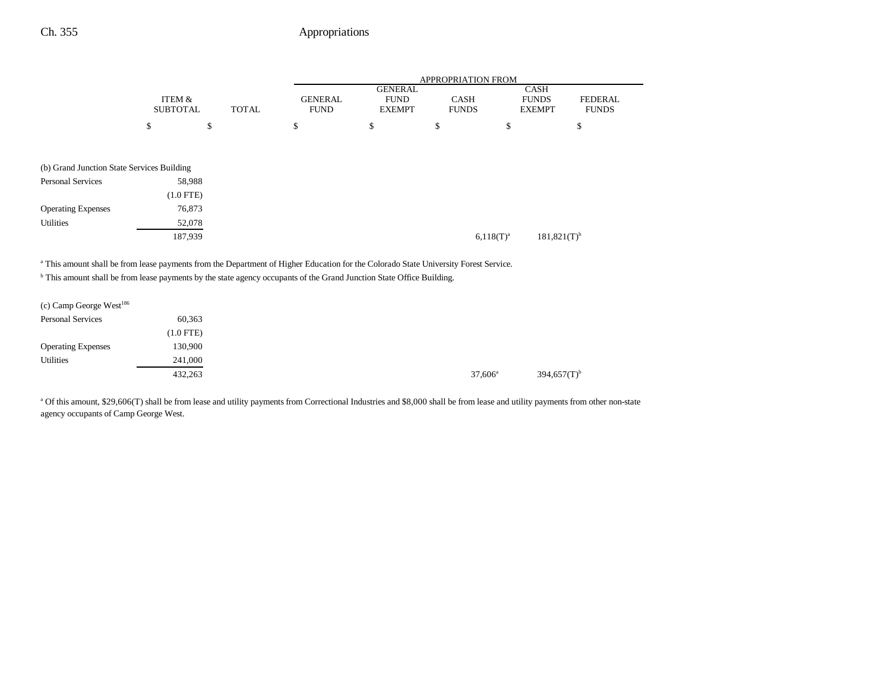|                                                                                                                                                 |                 |              | APPROPRIATION FROM |                               |                |                             |                  |
|-------------------------------------------------------------------------------------------------------------------------------------------------|-----------------|--------------|--------------------|-------------------------------|----------------|-----------------------------|------------------|
|                                                                                                                                                 | ITEM &          |              | <b>GENERAL</b>     | <b>GENERAL</b><br><b>FUND</b> | <b>CASH</b>    | <b>CASH</b><br><b>FUNDS</b> | <b>FEDERAL</b>   |
|                                                                                                                                                 | <b>SUBTOTAL</b> | <b>TOTAL</b> | <b>FUND</b>        | <b>EXEMPT</b>                 | <b>FUNDS</b>   | <b>EXEMPT</b>               | <b>FUNDS</b>     |
|                                                                                                                                                 | \$<br>\$        |              | \$                 | \$                            | \$             | \$                          | \$               |
| (b) Grand Junction State Services Building                                                                                                      |                 |              |                    |                               |                |                             |                  |
| <b>Personal Services</b>                                                                                                                        | 58,988          |              |                    |                               |                |                             |                  |
|                                                                                                                                                 | $(1.0$ FTE)     |              |                    |                               |                |                             |                  |
| <b>Operating Expenses</b>                                                                                                                       | 76,873          |              |                    |                               |                |                             |                  |
| <b>Utilities</b>                                                                                                                                | 52,078          |              |                    |                               |                |                             |                  |
|                                                                                                                                                 | 187,939         |              |                    |                               | $6,118(T)^{a}$ |                             | $181,821(T)^{b}$ |
| <sup>a</sup> This amount shall be from lease payments from the Department of Higher Education for the Colorado State University Forest Service. |                 |              |                    |                               |                |                             |                  |
| <sup>b</sup> This amount shall be from lease payments by the state agency occupants of the Grand Junction State Office Building.                |                 |              |                    |                               |                |                             |                  |
| (c) Camp George West $^{186}$                                                                                                                   |                 |              |                    |                               |                |                             |                  |
| <b>Personal Services</b>                                                                                                                        | 60,363          |              |                    |                               |                |                             |                  |
|                                                                                                                                                 | $(1.0$ FTE)     |              |                    |                               |                |                             |                  |
| <b>Operating Expenses</b>                                                                                                                       | 130,900         |              |                    |                               |                |                             |                  |
| <b>Utilities</b>                                                                                                                                | 241,000         |              |                    |                               |                |                             |                  |

 $432,263$   $37,606^{\circ}$   $394,657(T)^{\circ}$ 

<sup>a</sup> Of this amount, \$29,606(T) shall be from lease and utility payments from Correctional Industries and \$8,000 shall be from lease and utility payments from other non-state agency occupants of Camp George West.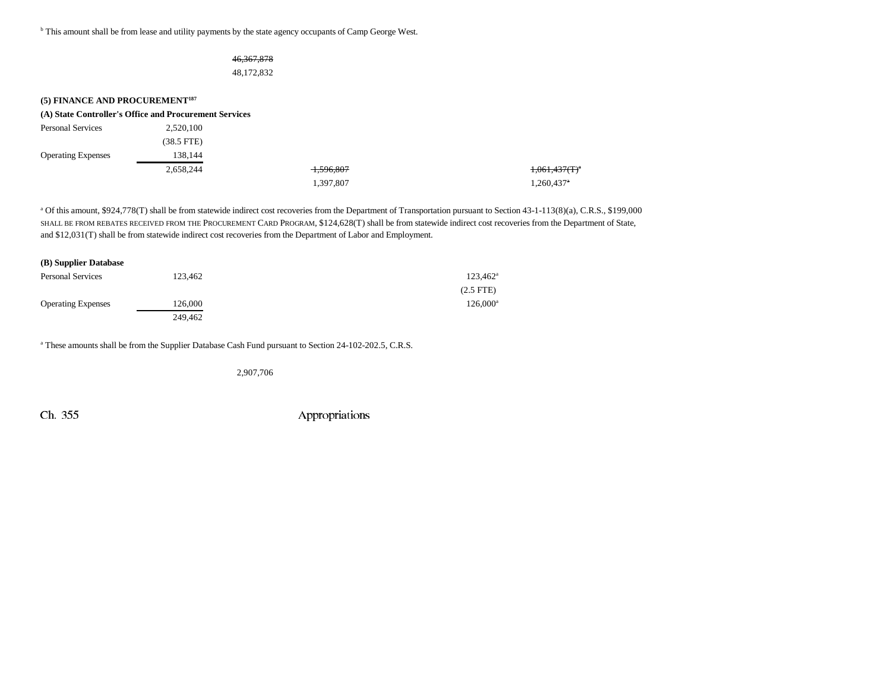b This amount shall be from lease and utility payments by the state agency occupants of Camp George West.

### 46,367,878 48,172,832

| (5) FINANCE AND PROCUREMENT <sup>187</sup> |                                                        |                      |                        |
|--------------------------------------------|--------------------------------------------------------|----------------------|------------------------|
|                                            | (A) State Controller's Office and Procurement Services |                      |                        |
| <b>Personal Services</b>                   | 2,520,100                                              |                      |                        |
|                                            | $(38.5$ FTE)                                           |                      |                        |
| <b>Operating Expenses</b>                  | 138,144                                                |                      |                        |
|                                            | 2,658,244                                              | <del>1,596,807</del> | $1,061,437(T)^4$       |
|                                            |                                                        | 1,397,807            | 1,260,437 <sup>a</sup> |

<sup>a</sup> Of this amount, \$924,778(T) shall be from statewide indirect cost recoveries from the Department of Transportation pursuant to Section 43-1-113(8)(a), C.R.S., \$199,000 SHALL BE FROM REBATES RECEIVED FROM THE PROCUREMENT CARD PROGRAM, \$124,628(T) shall be from statewide indirect cost recoveries from the Department of State, and \$12,031(T) shall be from statewide indirect cost recoveries from the Department of Labor and Employment.

| (B) Supplier Database     |         |                   |
|---------------------------|---------|-------------------|
| <b>Personal Services</b>  | 123,462 | $123,462^{\rm a}$ |
|                           |         | $(2.5$ FTE $)$    |
| <b>Operating Expenses</b> | 126,000 | $126.000^a$       |
|                           | 249.462 |                   |

<sup>a</sup> These amounts shall be from the Supplier Database Cash Fund pursuant to Section 24-102-202.5, C.R.S.

2,907,706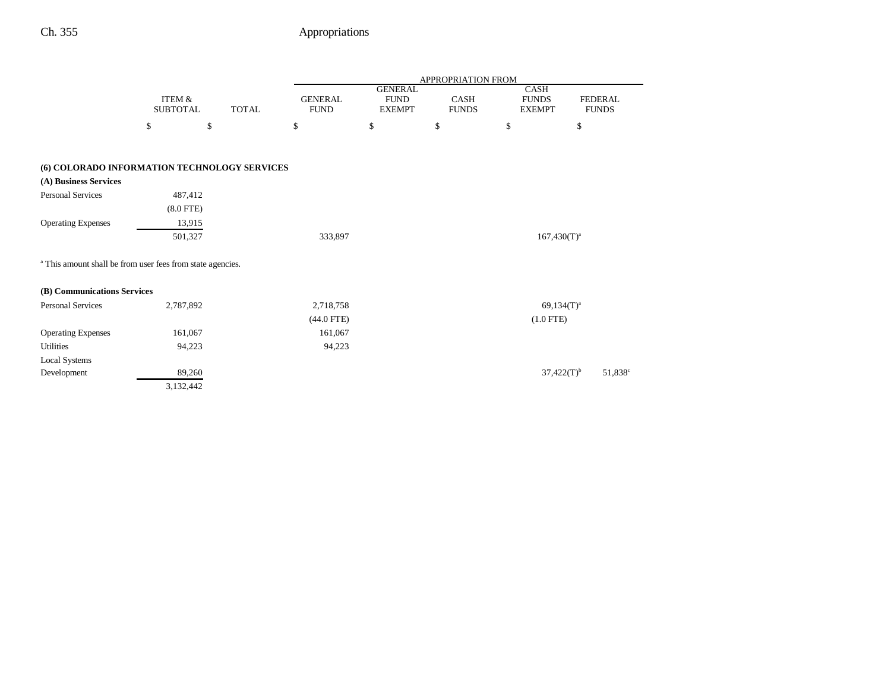|                                                                       |                                      |              | APPROPRIATION FROM            |                                                |                      |                                       |                                |  |  |
|-----------------------------------------------------------------------|--------------------------------------|--------------|-------------------------------|------------------------------------------------|----------------------|---------------------------------------|--------------------------------|--|--|
|                                                                       | <b>ITEM &amp;</b><br><b>SUBTOTAL</b> | <b>TOTAL</b> | <b>GENERAL</b><br><b>FUND</b> | <b>GENERAL</b><br><b>FUND</b><br><b>EXEMPT</b> | CASH<br><b>FUNDS</b> | CASH<br><b>FUNDS</b><br><b>EXEMPT</b> | <b>FEDERAL</b><br><b>FUNDS</b> |  |  |
|                                                                       | \$                                   | \$           | \$                            | \$                                             | \$                   | \$                                    | \$                             |  |  |
|                                                                       |                                      |              |                               |                                                |                      |                                       |                                |  |  |
| (6) COLORADO INFORMATION TECHNOLOGY SERVICES                          |                                      |              |                               |                                                |                      |                                       |                                |  |  |
| (A) Business Services                                                 |                                      |              |                               |                                                |                      |                                       |                                |  |  |
| <b>Personal Services</b>                                              | 487,412                              |              |                               |                                                |                      |                                       |                                |  |  |
|                                                                       | $(8.0$ FTE)                          |              |                               |                                                |                      |                                       |                                |  |  |
| <b>Operating Expenses</b>                                             | 13,915                               |              |                               |                                                |                      |                                       |                                |  |  |
|                                                                       | 501,327                              |              | 333,897                       |                                                |                      | $167,430(T)^a$                        |                                |  |  |
| <sup>a</sup> This amount shall be from user fees from state agencies. |                                      |              |                               |                                                |                      |                                       |                                |  |  |
| (B) Communications Services                                           |                                      |              |                               |                                                |                      |                                       |                                |  |  |
| <b>Personal Services</b>                                              | 2,787,892                            |              | 2,718,758                     |                                                |                      | $69,134(T)^a$                         |                                |  |  |
|                                                                       |                                      |              | $(44.0$ FTE)                  |                                                |                      | $(1.0$ FTE)                           |                                |  |  |
| <b>Operating Expenses</b>                                             | 161,067                              |              | 161,067                       |                                                |                      |                                       |                                |  |  |
| <b>Utilities</b>                                                      | 94,223                               |              | 94,223                        |                                                |                      |                                       |                                |  |  |
| <b>Local Systems</b>                                                  |                                      |              |                               |                                                |                      |                                       |                                |  |  |
| Development                                                           | 89,260                               |              |                               |                                                |                      | $37,422(T)^{b}$                       | 51,838 <sup>c</sup>            |  |  |
|                                                                       | 3,132,442                            |              |                               |                                                |                      |                                       |                                |  |  |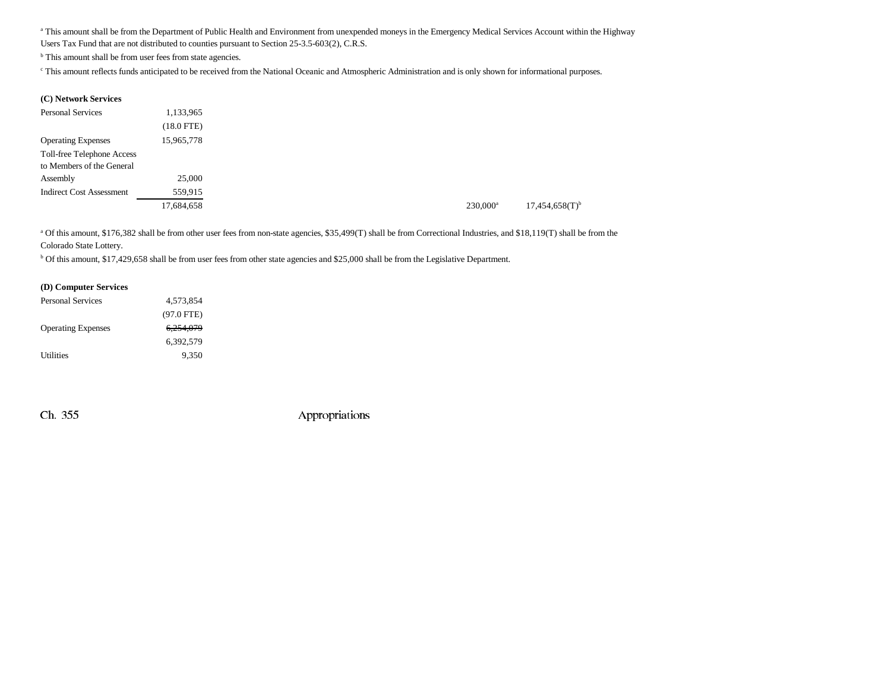a This amount shall be from the Department of Public Health and Environment from unexpended moneys in the Emergency Medical Services Account within the Highway Users Tax Fund that are not distributed to counties pursuant to Section 25-3.5-603(2), C.R.S.

<sup>b</sup> This amount shall be from user fees from state agencies.

c This amount reflects funds anticipated to be received from the National Oceanic and Atmospheric Administration and is only shown for informational purposes.

#### **(C) Network Services**

| <b>Personal Services</b>        | 1,133,965       |
|---------------------------------|-----------------|
|                                 | $(18.0$ FTE $)$ |
| <b>Operating Expenses</b>       | 15,965,778      |
| Toll-free Telephone Access      |                 |
| to Members of the General       |                 |
| Assembly                        | 25,000          |
| <b>Indirect Cost Assessment</b> | 559,915         |
|                                 | 17,684,658      |

<sup>a</sup> Of this amount, \$176,382 shall be from other user fees from non-state agencies, \$35,499(T) shall be from Correctional Industries, and \$18,119(T) shall be from the Colorado State Lottery.

b Of this amount, \$17,429,658 shall be from user fees from other state agencies and \$25,000 shall be from the Legislative Department.

#### **(D) Computer Services**

| Personal Services         | 4,573,854    |  |
|---------------------------|--------------|--|
|                           | $(97.0$ FTE) |  |
| <b>Operating Expenses</b> | 6.254.079    |  |
|                           | 6.392.579    |  |
| Utilities                 | 9.350        |  |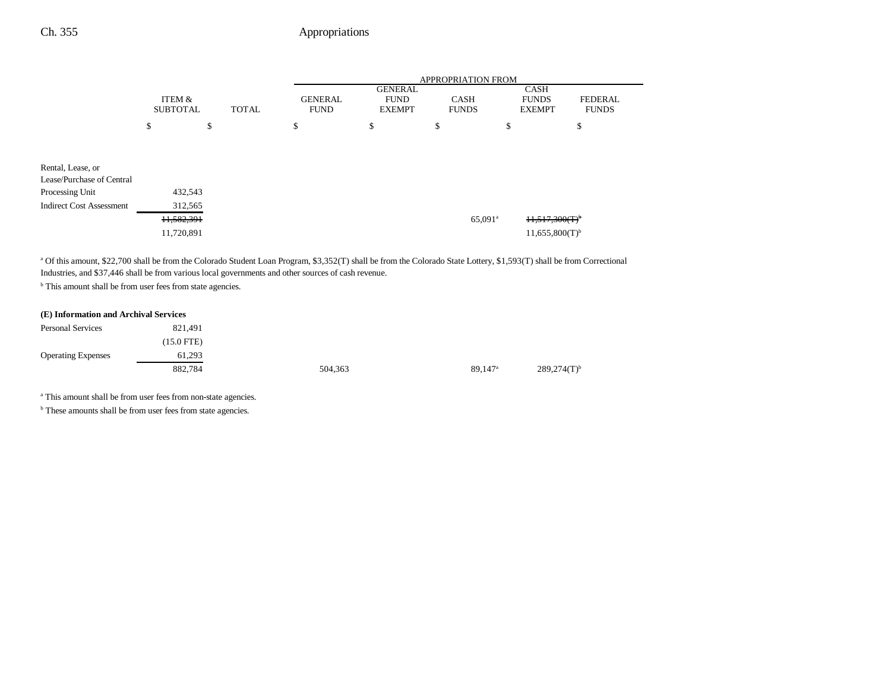|                                                |                           |    |              | <b>APPROPRIATION FROM</b>     |                                                |                             |    |                                              |                                |  |
|------------------------------------------------|---------------------------|----|--------------|-------------------------------|------------------------------------------------|-----------------------------|----|----------------------------------------------|--------------------------------|--|
|                                                | ITEM &<br><b>SUBTOTAL</b> |    | <b>TOTAL</b> | <b>GENERAL</b><br><b>FUND</b> | <b>GENERAL</b><br><b>FUND</b><br><b>EXEMPT</b> | <b>CASH</b><br><b>FUNDS</b> |    | <b>CASH</b><br><b>FUNDS</b><br><b>EXEMPT</b> | <b>FEDERAL</b><br><b>FUNDS</b> |  |
|                                                | \$                        | \$ |              | \$                            | \$                                             | \$                          | \$ |                                              | \$                             |  |
| Rental, Lease, or<br>Lease/Purchase of Central |                           |    |              |                               |                                                |                             |    |                                              |                                |  |
| Processing Unit                                | 432,543                   |    |              |                               |                                                |                             |    |                                              |                                |  |
| <b>Indirect Cost Assessment</b>                | 312,565                   |    |              |                               |                                                |                             |    |                                              |                                |  |
|                                                | 11,582,391                |    |              |                               |                                                | $65,091$ <sup>a</sup>       |    | 11,517,300(T)                                |                                |  |
|                                                | 11,720,891                |    |              |                               |                                                |                             |    | $11,655,800(T)$ <sup>b</sup>                 |                                |  |

a Of this amount, \$22,700 shall be from the Colorado Student Loan Program, \$3,352(T) shall be from the Colorado State Lottery, \$1,593(T) shall be from Correctional Industries, and \$37,446 shall be from various local governments and other sources of cash revenue.

<sup>b</sup> This amount shall be from user fees from state agencies.

#### **(E) Information and Archival Services**

| <b>Personal Services</b>  | 821.491              |         |
|---------------------------|----------------------|---------|
|                           | $(15.0 \text{ FTE})$ |         |
| <b>Operating Expenses</b> | 61,293               |         |
|                           | 882,784              | 504,363 |

89,147<sup>a</sup> 289,274(T)<sup>b</sup>

a This amount shall be from user fees from non-state agencies.

**b** These amounts shall be from user fees from state agencies.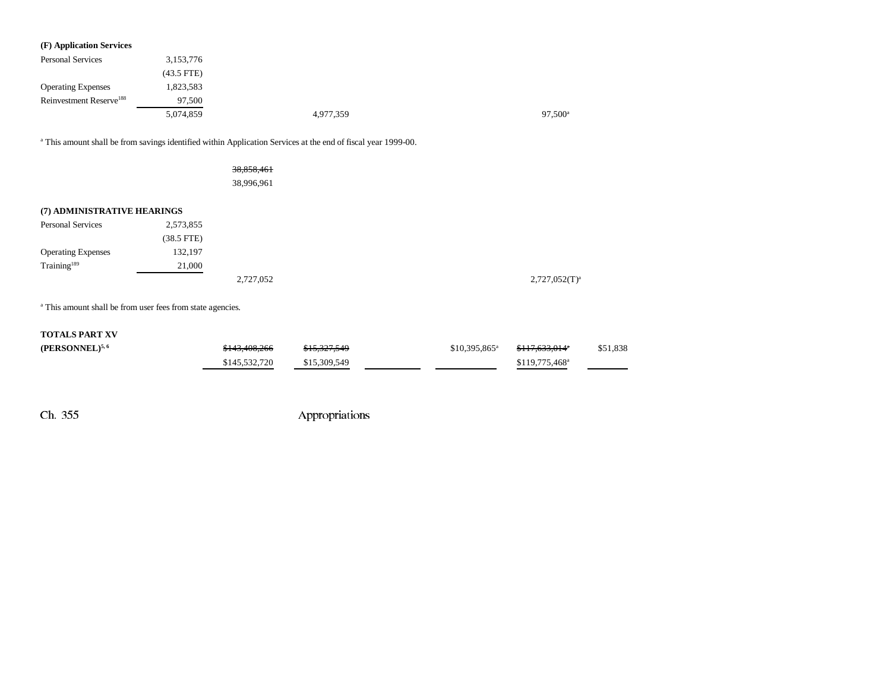| (F) Application Services            |              |           |                  |
|-------------------------------------|--------------|-----------|------------------|
| <b>Personal Services</b>            | 3,153,776    |           |                  |
|                                     | $(43.5$ FTE) |           |                  |
| <b>Operating Expenses</b>           | 1,823,583    |           |                  |
| Reinvestment Reserve <sup>188</sup> | 97.500       |           |                  |
|                                     | 5,074,859    | 4,977,359 | $97.500^{\circ}$ |

a This amount shall be from savings identified within Application Services at the end of fiscal year 1999-00.

38,858,461 38,996,961

#### **(7) ADMINISTRATIVE HEARINGS**

| <b>Personal Services</b>  | 2,573,855    |           |                    |
|---------------------------|--------------|-----------|--------------------|
|                           | $(38.5$ FTE) |           |                    |
| <b>Operating Expenses</b> | 132,197      |           |                    |
| Training <sup>189</sup>   | 21,000       |           |                    |
|                           |              | 2,727,052 | $2,727,052(T)^{3}$ |

a This amount shall be from user fees from state agencies.

#### **TOTALS PART XV**

| $(PERSONNEL)^{5,6}$ | <del>\$143,408,266</del> | \$15,327,549 | $$10,395,865$ <sup>a</sup> | <del>\$117.633.014</del> °  | \$51,838 |
|---------------------|--------------------------|--------------|----------------------------|-----------------------------|----------|
|                     | \$145,532,720            | \$15,309,549 |                            | $$119,775,468$ <sup>a</sup> |          |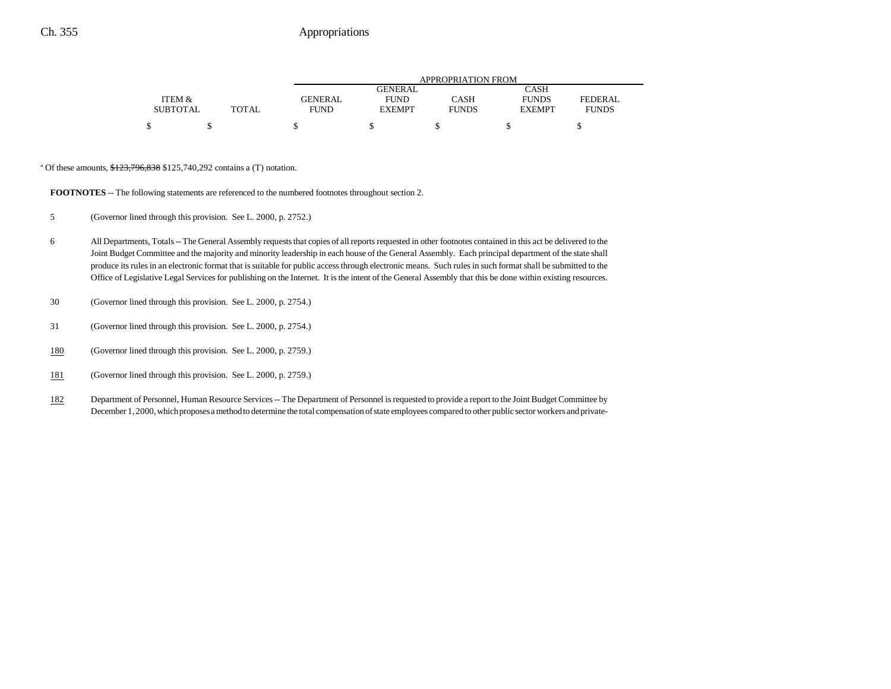|                 |              | APPROPRIATION FROM |               |              |               |                |  |
|-----------------|--------------|--------------------|---------------|--------------|---------------|----------------|--|
|                 |              |                    | GENERAL       |              | CASH          |                |  |
| ITEM &          |              | <b>GENERAL</b>     | <b>FUND</b>   | CASH         | <b>FUNDS</b>  | <b>FEDERAL</b> |  |
| <b>SUBTOTAL</b> | <b>TOTAL</b> | <b>FUND</b>        | <b>EXEMPT</b> | <b>FUNDS</b> | <b>EXEMPT</b> | <b>FUNDS</b>   |  |
|                 |              |                    |               |              |               |                |  |
|                 |              |                    |               |              |               |                |  |

<sup>a</sup> Of these amounts,  $\frac{$123,796,838}{$125,740,292}$  contains a (T) notation.

**FOOTNOTES** -- The following statements are referenced to the numbered footnotes throughout section 2.

5 (Governor lined through this provision. See L. 2000, p. 2752.)

- 6 All Departments, Totals -- The General Assembly requests that copies of all reports requested in other footnotes contained in this act be delivered to the Joint Budget Committee and the majority and minority leadership in each house of the General Assembly. Each principal department of the state shall produce its rules in an electronic format that is suitable for public access through electronic means. Such rules in such format shall be submitted to the Office of Legislative Legal Services for publishing on the Internet. It is the intent of the General Assembly that this be done within existing resources.
- 30 (Governor lined through this provision. See L. 2000, p. 2754.)
- 31 (Governor lined through this provision. See L. 2000, p. 2754.)
- 180(Governor lined through this provision. See L. 2000, p. 2759.)
- 181(Governor lined through this provision. See L. 2000, p. 2759.)
- 182 Department of Personnel, Human Resource Services -- The Department of Personnel is requested to provide a report to the Joint Budget Committee by December 1, 2000, which proposes a method to determine the total compensation of state employees compared to other public sector workers and private-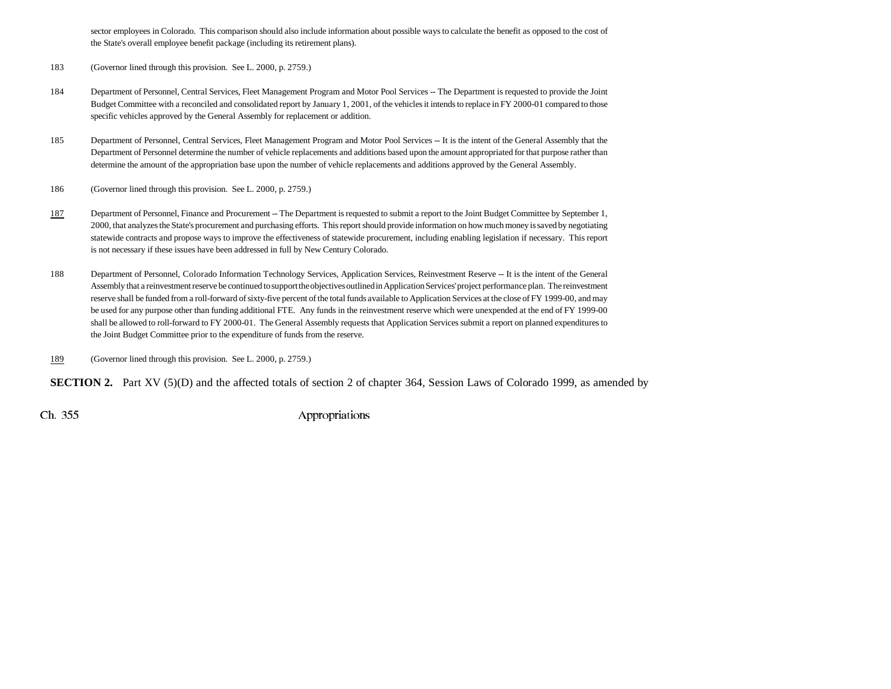sector employees in Colorado. This comparison should also include information about possible ways to calculate the benefit as opposed to the cost of the State's overall employee benefit package (including its retirement plans).

183 (Governor lined through this provision. See L. 2000, p. 2759.)

- 184 Department of Personnel, Central Services, Fleet Management Program and Motor Pool Services -- The Department is requested to provide the Joint Budget Committee with a reconciled and consolidated report by January 1, 2001, of the vehicles it intends to replace in FY 2000-01 compared to those specific vehicles approved by the General Assembly for replacement or addition.
- 185 Department of Personnel, Central Services, Fleet Management Program and Motor Pool Services -- It is the intent of the General Assembly that the Department of Personnel determine the number of vehicle replacements and additions based upon the amount appropriated for that purpose rather than determine the amount of the appropriation base upon the number of vehicle replacements and additions approved by the General Assembly.
- 186 (Governor lined through this provision. See L. 2000, p. 2759.)
- 187Department of Personnel, Finance and Procurement -- The Department is requested to submit a report to the Joint Budget Committee by September 1, 2000, that analyzes the State's procurement and purchasing efforts. This report should provide information on how much money is saved by negotiating statewide contracts and propose ways to improve the effectiveness of statewide procurement, including enabling legislation if necessary. This report is not necessary if these issues have been addressed in full by New Century Colorado.
- 188 Department of Personnel, Colorado Information Technology Services, Application Services, Reinvestment Reserve -- It is the intent of the General Assembly that a reinvestment reserve be continued to support the objectives outlined in Application Services' project performance plan. The reinvestment reserve shall be funded from a roll-forward of sixty-five percent of the total funds available to Application Services at the close of FY 1999-00, and may be used for any purpose other than funding additional FTE. Any funds in the reinvestment reserve which were unexpended at the end of FY 1999-00 shall be allowed to roll-forward to FY 2000-01. The General Assembly requests that Application Services submit a report on planned expenditures to the Joint Budget Committee prior to the expenditure of funds from the reserve.
- 189(Governor lined through this provision. See L. 2000, p. 2759.)

**SECTION 2.** Part XV (5)(D) and the affected totals of section 2 of chapter 364, Session Laws of Colorado 1999, as amended by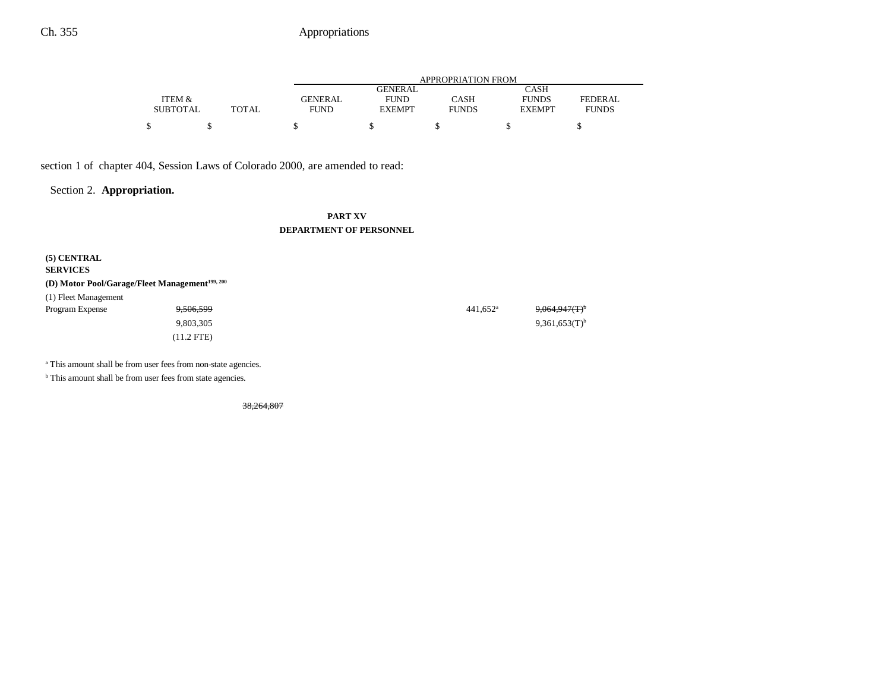|                 |              | APPROPRIATION FROM |                |              |               |                |  |
|-----------------|--------------|--------------------|----------------|--------------|---------------|----------------|--|
|                 |              |                    | <b>GENERAL</b> |              | <b>CASH</b>   |                |  |
| ITEM &          |              | <b>GENERAL</b>     | <b>FUND</b>    | <b>CASH</b>  | <b>FUNDS</b>  | <b>FEDERAL</b> |  |
| <b>SUBTOTAL</b> | <b>TOTAL</b> | <b>FUND</b>        | <b>EXEMPT</b>  | <b>FUNDS</b> | <b>EXEMPT</b> | <b>FUNDS</b>   |  |
| Φ               |              |                    |                |              |               |                |  |

section 1 of chapter 404, Session Laws of Colorado 2000, are amended to read:

Section 2. **Appropriation.**

### **PART XVDEPARTMENT OF PERSONNEL**

| $(5)$ CENTRAL<br><b>SERVICES</b><br>(D) Motor Pool/Garage/Fleet Management <sup>199, 200</sup> |              |                   |                             |
|------------------------------------------------------------------------------------------------|--------------|-------------------|-----------------------------|
| (1) Fleet Management                                                                           |              |                   |                             |
| Program Expense                                                                                | 9,506,599    | $441.652^{\circ}$ | $9,064,947(T)^6$            |
|                                                                                                | 9,803,305    |                   | $9,361,653(T)$ <sup>b</sup> |
|                                                                                                | $(11.2$ FTE) |                   |                             |

a This amount shall be from user fees from non-state agencies.

 $<sup>b</sup>$  This amount shall be from user fees from state agencies.</sup>

38,264,807